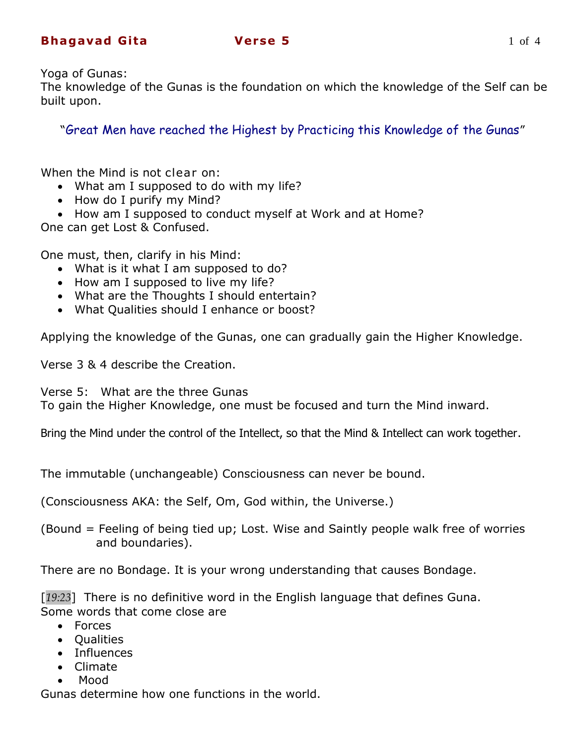# **Bhagavad Gita 618 Verse 5** 1 of 4

Yoga of Gunas:

The knowledge of the Gunas is the foundation on which the knowledge of the Self can be built upon.

"Great Men have reached the Highest by Practicing this Knowledge of the Gunas"

When the Mind is not clear on:

- What am I supposed to do with my life?
- How do I purify my Mind?
- How am I supposed to conduct myself at Work and at Home?

One can get Lost & Confused.

One must, then, clarify in his Mind:

- What is it what I am supposed to do?
- How am I supposed to live my life?
- What are the Thoughts I should entertain?
- What Qualities should I enhance or boost?

Applying the knowledge of the Gunas, one can gradually gain the Higher Knowledge.

Verse 3 & 4 describe the Creation.

Verse 5: What are the three Gunas

To gain the Higher Knowledge, one must be focused and turn the Mind inward.

Bring the Mind under the control of the Intellect, so that the Mind & Intellect can work together.

The immutable (unchangeable) Consciousness can never be bound.

(Consciousness AKA: the Self, Om, God within, the Universe.)

(Bound = Feeling of being tied up; Lost. Wise and Saintly people walk free of worries and boundaries).

There are no Bondage. It is your wrong understanding that causes Bondage.

[*19:23*] There is no definitive word in the English language that defines Guna. Some words that come close are

- Forces
- Oualities
- Influences
- Climate
- Mood

Gunas determine how one functions in the world.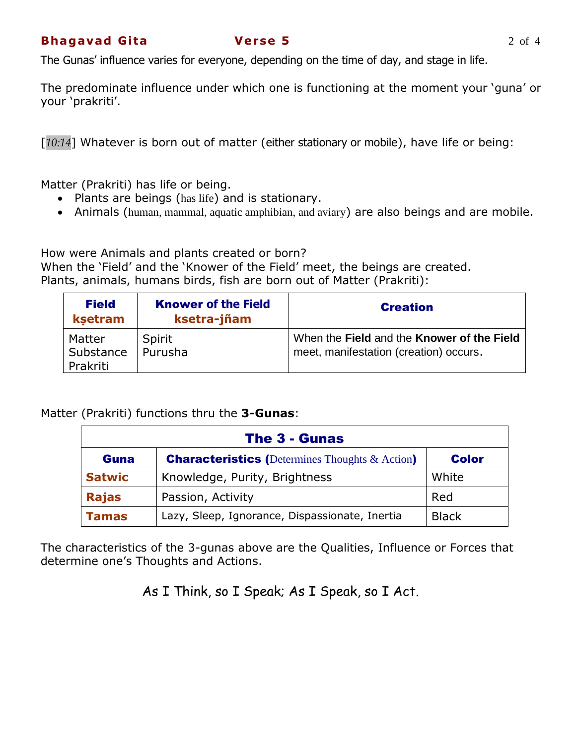The predominate influence under which one is functioning at the moment your "guna" or your 'prakriti'.

[*10:14*] Whatever is born out of matter (either stationary or mobile), have life or being:

Matter (Prakriti) has life or being.

- Plants are beings (has life) and is stationary.
- Animals (human, mammal, aquatic amphibian, and aviary) are also beings and are mobile.

How were Animals and plants created or born? When the 'Field' and the 'Knower of the Field' meet, the beings are created. Plants, animals, humans birds, fish are born out of Matter (Prakriti):

| <b>Field</b><br>ksetram         | <b>Knower of the Field</b><br>ksetra-jñam | <b>Creation</b>                                                                      |
|---------------------------------|-------------------------------------------|--------------------------------------------------------------------------------------|
| Matter<br>Substance<br>Prakriti | Spirit<br>Purusha                         | When the Field and the Knower of the Field<br>meet, manifestation (creation) occurs. |

Matter (Prakriti) functions thru the **3-Gunas**:

| The 3 - Gunas |                                                           |              |  |  |
|---------------|-----------------------------------------------------------|--------------|--|--|
| <b>Guna</b>   | <b>Characteristics (Determines Thoughts &amp; Action)</b> | <b>Color</b> |  |  |
| <b>Satwic</b> | Knowledge, Purity, Brightness                             | White        |  |  |
| <b>Rajas</b>  | Passion, Activity                                         | Red          |  |  |
| <b>Tamas</b>  | Lazy, Sleep, Ignorance, Dispassionate, Inertia            | <b>Black</b> |  |  |

The characteristics of the 3-gunas above are the Qualities, Influence or Forces that determine one"s Thoughts and Actions.

As I Think, so I Speak; As I Speak, so I Act.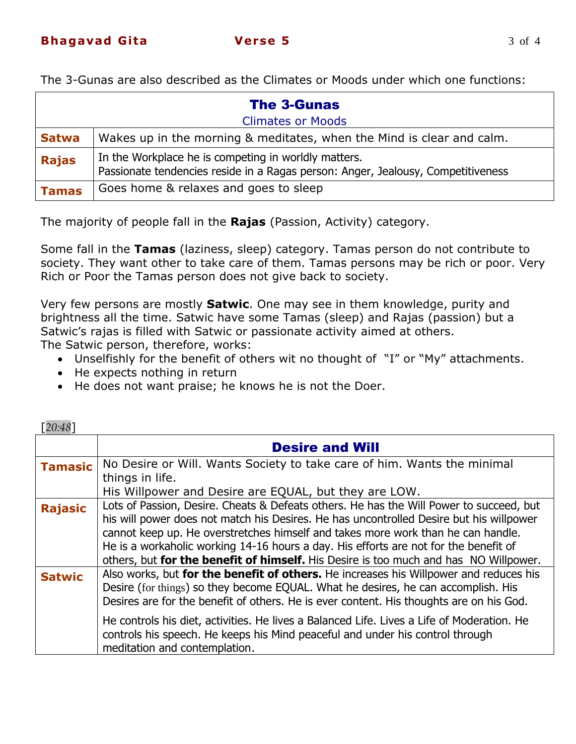| <b>The 3-Gunas</b>       |                                                                                                                                          |  |  |  |
|--------------------------|------------------------------------------------------------------------------------------------------------------------------------------|--|--|--|
| <b>Climates or Moods</b> |                                                                                                                                          |  |  |  |
| <b>Satwa</b>             | Wakes up in the morning & meditates, when the Mind is clear and calm.                                                                    |  |  |  |
| <b>Rajas</b>             | In the Workplace he is competing in worldly matters.<br>Passionate tendencies reside in a Ragas person: Anger, Jealousy, Competitiveness |  |  |  |
| <b>Tamas</b>             | Goes home & relaxes and goes to sleep                                                                                                    |  |  |  |

The majority of people fall in the **Rajas** (Passion, Activity) category.

Some fall in the **Tamas** (laziness, sleep) category. Tamas person do not contribute to society. They want other to take care of them. Tamas persons may be rich or poor. Very Rich or Poor the Tamas person does not give back to society.

Very few persons are mostly **Satwic**. One may see in them knowledge, purity and brightness all the time. Satwic have some Tamas (sleep) and Rajas (passion) but a Satwic"s rajas is filled with Satwic or passionate activity aimed at others.

The Satwic person, therefore, works:

- Unselfishly for the benefit of others wit no thought of "I" or "My" attachments.
- He expects nothing in return

[*20:48*]

• He does not want praise; he knows he is not the Doer.

| I 20.40 I      |                                                                                                                                                                                                                                                                                                                                                                                                                                                        |
|----------------|--------------------------------------------------------------------------------------------------------------------------------------------------------------------------------------------------------------------------------------------------------------------------------------------------------------------------------------------------------------------------------------------------------------------------------------------------------|
|                | <b>Desire and Will</b>                                                                                                                                                                                                                                                                                                                                                                                                                                 |
| <b>Tamasic</b> | No Desire or Will. Wants Society to take care of him. Wants the minimal<br>things in life.                                                                                                                                                                                                                                                                                                                                                             |
|                | His Willpower and Desire are EQUAL, but they are LOW.                                                                                                                                                                                                                                                                                                                                                                                                  |
| <b>Rajasic</b> | Lots of Passion, Desire. Cheats & Defeats others. He has the Will Power to succeed, but<br>his will power does not match his Desires. He has uncontrolled Desire but his willpower<br>cannot keep up. He overstretches himself and takes more work than he can handle.<br>He is a workaholic working 14-16 hours a day. His efforts are not for the benefit of<br>others, but for the benefit of himself. His Desire is too much and has NO Willpower. |
| <b>Satwic</b>  | Also works, but for the benefit of others. He increases his Willpower and reduces his<br>Desire (for things) so they become EQUAL. What he desires, he can accomplish. His<br>Desires are for the benefit of others. He is ever content. His thoughts are on his God.                                                                                                                                                                                  |
|                | He controls his diet, activities. He lives a Balanced Life. Lives a Life of Moderation. He<br>controls his speech. He keeps his Mind peaceful and under his control through<br>meditation and contemplation.                                                                                                                                                                                                                                           |